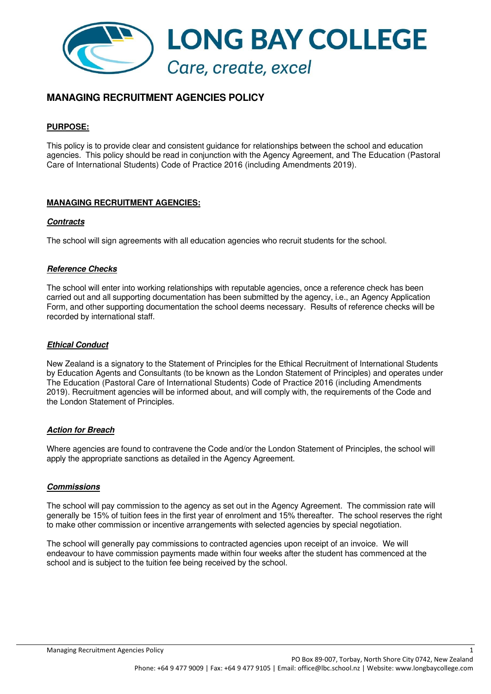

# **MANAGING RECRUITMENT AGENCIES POLICY**

### **PURPOSE:**

This policy is to provide clear and consistent guidance for relationships between the school and education agencies. This policy should be read in conjunction with the Agency Agreement, and The Education (Pastoral Care of International Students) Code of Practice 2016 (including Amendments 2019).

## **MANAGING RECRUITMENT AGENCIES:**

#### **Contracts**

The school will sign agreements with all education agencies who recruit students for the school.

## **Reference Checks**

The school will enter into working relationships with reputable agencies, once a reference check has been carried out and all supporting documentation has been submitted by the agency, i.e., an Agency Application Form, and other supporting documentation the school deems necessary. Results of reference checks will be recorded by international staff.

## **Ethical Conduct**

New Zealand is a signatory to the Statement of Principles for the Ethical Recruitment of International Students by Education Agents and Consultants (to be known as the London Statement of Principles) and operates under The Education (Pastoral Care of International Students) Code of Practice 2016 (including Amendments 2019). Recruitment agencies will be informed about, and will comply with, the requirements of the Code and the London Statement of Principles.

#### **Action for Breach**

Where agencies are found to contravene the Code and/or the London Statement of Principles, the school will apply the appropriate sanctions as detailed in the Agency Agreement.

#### **Commissions**

The school will pay commission to the agency as set out in the Agency Agreement. The commission rate will generally be 15% of tuition fees in the first year of enrolment and 15% thereafter. The school reserves the right to make other commission or incentive arrangements with selected agencies by special negotiation.

The school will generally pay commissions to contracted agencies upon receipt of an invoice. We will endeavour to have commission payments made within four weeks after the student has commenced at the school and is subject to the tuition fee being received by the school.